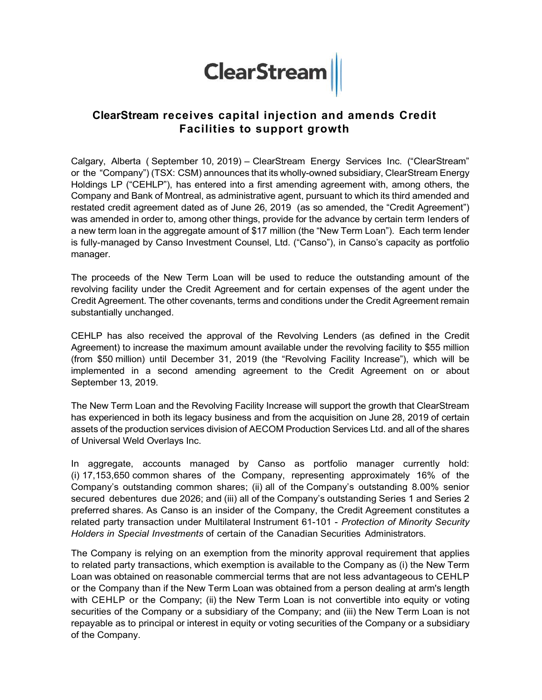# ClearStream receives capital injection and amends Credit Facilities to support growth

**ClearStream receives capital injection and amends Credit**<br>
Facilities to support growth<br>
Calgary, Alberta ( September 10, 2019) – ClearStream Energy Services Inc. ("ClearStream"<br>
Or the "Company") (TSX: CSM) announces tha or the "Company") (TSX: CSM) announces that its wholly-owned subsidiary, ClearStream Energy Holdings LP ("CEHLP"), has entered into a first amending agreement with, among others, the Company and Bank of Montreal, as administrative agent, pursuant to which its third amended and restated credit agreement dated as of June 26, 2019 (as so amended, the "Credit Agreement") was amended in order to, among other things, provide for the advance by certain term lenders of a new term loan in the aggregate amount of \$17 million (the "New Term Loan"). Each term lender is fully-managed by Canso Investment Counsel, Ltd. ("Canso"), in Canso's capacity as portfolio manager.

The proceeds of the New Term Loan will be used to reduce the outstanding amount of the revolving facility under the Credit Agreement and for certain expenses of the agent under the Credit Agreement. The other covenants, terms and conditions under the Credit Agreement remain substantially unchanged.

CEHLP has also received the approval of the Revolving Lenders (as defined in the Credit Agreement) to increase the maximum amount available under the revolving facility to \$55 million (from \$50 million) until December 31, 2019 (the "Revolving Facility Increase"), which will be implemented in a second amending agreement to the Credit Agreement on or about September 13, 2019.

The New Term Loan and the Revolving Facility Increase will support the growth that ClearStream has experienced in both its legacy business and from the acquisition on June 28, 2019 of certain assets of the production services division of AECOM Production Services Ltd. and all of the shares of Universal Weld Overlays Inc.

In aggregate, accounts managed by Canso as portfolio manager currently hold: (i) 17,153,650 common shares of the Company, representing approximately 16% of the Company's outstanding common shares; (ii) all of the Company's outstanding 8.00% senior secured debentures due 2026; and (iii) all of the Company's outstanding Series 1 and Series 2 preferred shares. As Canso is an insider of the Company, the Credit Agreement constitutes a related party transaction under Multilateral Instrument 61-101 - Protection of Minority Security Holders in Special Investments of certain of the Canadian Securities Administrators.

The Company is relying on an exemption from the minority approval requirement that applies to related party transactions, which exemption is available to the Company as (i) the New Term Loan was obtained on reasonable commercial terms that are not less advantageous to CEHLP or the Company than if the New Term Loan was obtained from a person dealing at arm's length with CEHLP or the Company; (ii) the New Term Loan is not convertible into equity or voting securities of the Company or a subsidiary of the Company; and (iii) the New Term Loan is not repayable as to principal or interest in equity or voting securities of the Company or a subsidiary of the Company.